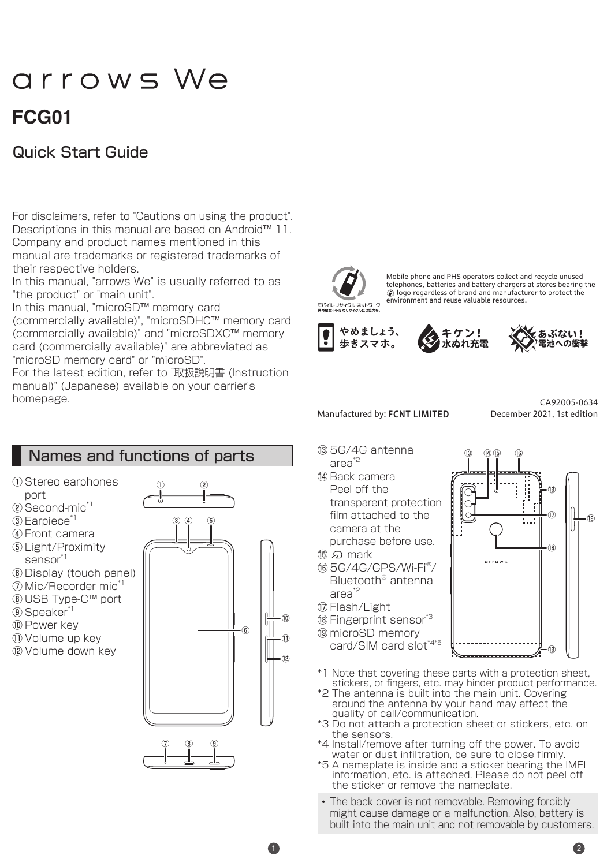# arrows We

## **01FCG**

## **Quick Start Guide**

For disclaimers, refer to "Cautions on using the product". Descriptions in this manual are based on Android<sup>™</sup> 11. Company and product names mentioned in this manual are trademarks or registered trademarks of their respective holders.

In this manual, "arrows We" is usually referred to as "the product" or "main unit".

In this manual, "microSD™ memory card (commercially available)", "microSDHC™ memory card (commercially available)" and "microSDXC™ memory card (commercially available)" are abbreviated as "microSD memory card" or "microSD".

For the latest edition, refer to "取扱説明書 (Instruction manual)" (Japanese) available on your carrier's .homepage



Mobile phone and PHS operators collect and recycle unused telephones, batteries and battery chargers at stores bearing the  $\oslash$  logo regardless of brand and manufacturer to protect the environment and reuse valuable resources.







#### Manufactured by: FCNT LIMITED

December 2021, 1st edition CA92005-0634

- Names and functions of parts ① Stereo earphones port  $(2)$  Second-mic<sup>\*1</sup>  $(3)$  Earpiece<sup> $^*$ </sup> (4) Front camera (5) Light/Proximity sensor<sup>\*1</sup> (6) Display (touch panel) (7) Mic/Recorder mic<sup>\*</sup> ® USB Type-C™ port (9) Speaker<sup>\*</sup> 10 Power key 11) Volume up key 12 Volume down key  $\widehat{6}$  $_{\oplus}$ 3 4 5  $\circledR$   $\circledR$  $^{\circledR}$ 10  $^{\tiny{\textregistered}}$ 12
- $@5G/4G$  antenna area<sup>\*2</sup>
- (**A** Back camera Peel off the transparent protection film attached to the camera at the purchase before use.
- 15) வி mark
- <sup>16</sup> 5G/4G/GPS/Wi-Fi<sup>®</sup>/ Bluetooth<sup>®</sup> antenna area<sup>\*2</sup>
- (ii) Flash/Light
- <sup>18</sup> Fingerprint sensor<sup>\*3</sup>
- ® microSD memory card/SIM card slot\*4\*5



- \*1 Note that covering these parts with a protection sheet, stickers, or fingers, etc. may hinder product performance.
- \*2 The antenna is built into the main unit. Covering around the antenna by your hand may affect the quality of call/communication.
- \*3 Do not attach a protection sheet or stickers, etc. on the sensors.
- \*4 Install/remove after turning off the power. To avoid water or dust infiltration, be sure to close firmly.
- \*5 A nameplate is inside and a sticker bearing the IMEI information, etc. is attached. Please do not peel off the sticker or remove the nameplate
- The back cover is not removable. Removing forcibly might cause damage or a malfunction. Also, battery is built into the main unit and not removable by customers.